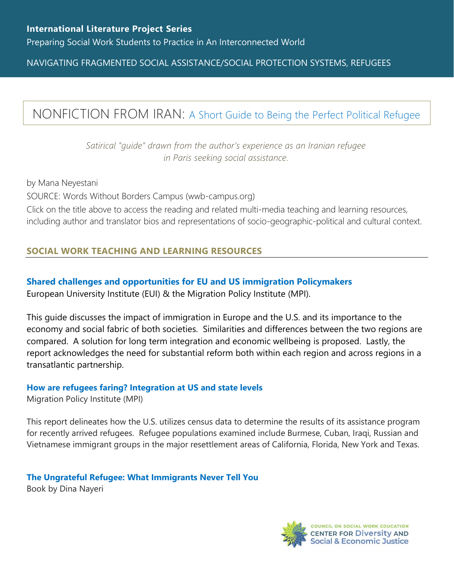NAVIGATING FRAGMENTED SOCIAL ASSISTANCE/SOCIAL PROTECTION SYSTEMS, REFUGEES

## NONFICTION FROM IRAN: [A Short Guide to Being the Perfect Political Refugee](https://www.wwb-campus.org/literature/a-short-guide-to-being-the-perfect-political-refugee)

*Satirical "guide" drawn from the author's experience as an Iranian refugee in Paris seeking social assistance.*

by Mana Neyestani SOURCE: Words Without Borders Campus (wwb-campus.org) Click on the title above to access the reading and related multi-media teaching and learning resources, including author and translator bios and representations of socio-geographic-political and cultural context.

## **SOCIAL WORK TEACHING AND LEARNING RESOURCES**

## **[Shared challenges and opportunities for EU and US immigration Policymakers](https://www.migrationpolicy.org/pubs/US-EUimmigrationsystems-finalreport.pdf)**

European University Institute (EUI) & the Migration Policy Institute (MPI).

This guide discusses the impact of immigration in Europe and the U.S. and its importance to the economy and social fabric of both societies. Similarities and differences between the two regions are compared. A solution for long term integration and economic wellbeing is proposed. Lastly, the report acknowledges the need for substantial reform both within each region and across regions in a transatlantic partnership.

## **[How are refugees faring? Integration at US and state levels](https://www.migrationpolicy.org/sites/default/files/publications/TCM-Asylum-USRefugeeIntegration-FINAL.pdf)**

Migration Policy Institute (MPI)

This report delineates how the U.S. utilizes census data to determine the results of its assistance program for recently arrived refugees. Refugee populations examined include Burmese, Cuban, Iraqi, Russian and Vietnamese immigrant groups in the major resettlement areas of California, Florida, New York and Texas.

**[The Ungrateful Refugee: What Immigrants Never Tell You](https://www.dinanayeri.com/books/the-ungrateful-refugee-what-immigrants-never-tell-you/)** Book by Dina Nayeri